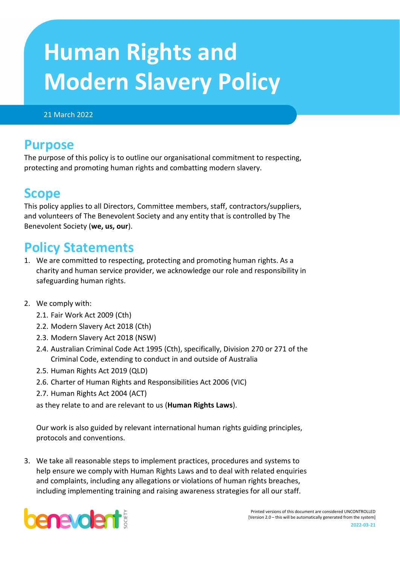# **Human Rights and Modern Slavery Policy**

#### 21 March 2022

## **Purpose**

The purpose of this policy is to outline our organisational commitment to respecting, protecting and promoting human rights and combatting modern slavery.

## **Scope**

This policy applies to all Directors, Committee members, staff, contractors/suppliers, and volunteers of The Benevolent Society and any entity that is controlled by The Benevolent Society (**we, us, our**).

# **Policy Statements**

- 1. We are committed to respecting, protecting and promoting human rights. As a charity and human service provider, we acknowledge our role and responsibility in safeguarding human rights.
- 2. We comply with:
	- 2.1. Fair Work Act 2009 (Cth)
	- 2.2. Modern Slavery Act 2018 (Cth)
	- 2.3. Modern Slavery Act 2018 (NSW)
	- 2.4. Australian Criminal Code Act 1995 (Cth), specifically, Division 270 or 271 of the Criminal Code, extending to conduct in and outside of Australia
	- 2.5. Human Rights Act 2019 (QLD)
	- 2.6. Charter of Human Rights and Responsibilities Act 2006 (VIC)
	- 2.7. Human Rights Act 2004 (ACT)

as they relate to and are relevant to us (**Human Rights Laws**).

Our work is also guided by relevant international human rights guiding principles, protocols and conventions.

3. We take all reasonable steps to implement practices, procedures and systems to help ensure we comply with Human Rights Laws and to deal with related enquiries and complaints, including any allegations or violations of human rights breaches, including implementing training and raising awareness strategies for all our staff.



Printed versions of this document are considered UNCONTROLLED [Version 2.0 – this will be automatically generated from the system] **2022-03-21**